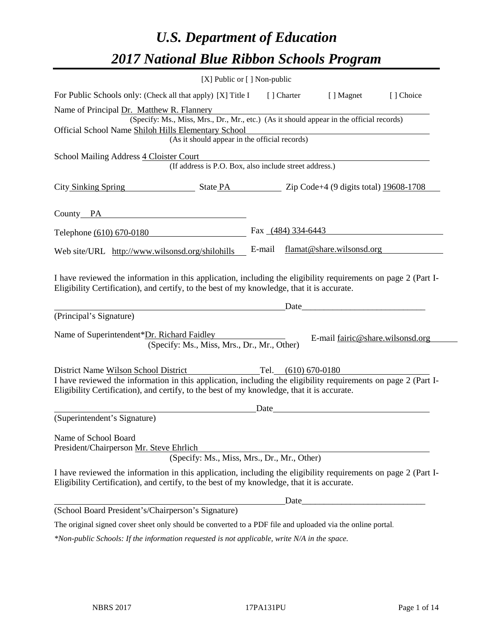# *U.S. Department of Education 2017 National Blue Ribbon Schools Program*

| [X] Public or [] Non-public                                                                                                                                                                                  |        |                    |                                  |            |
|--------------------------------------------------------------------------------------------------------------------------------------------------------------------------------------------------------------|--------|--------------------|----------------------------------|------------|
| For Public Schools only: (Check all that apply) [X] Title I                                                                                                                                                  |        | [ ] Charter        | [ ] Magnet                       | [ ] Choice |
| Name of Principal Dr. Matthew R. Flannery                                                                                                                                                                    |        |                    |                                  |            |
| (Specify: Ms., Miss, Mrs., Dr., Mr., etc.) (As it should appear in the official records)                                                                                                                     |        |                    |                                  |            |
| Official School Name Shiloh Hills Elementary School<br>(As it should appear in the official records)                                                                                                         |        |                    |                                  |            |
|                                                                                                                                                                                                              |        |                    |                                  |            |
| School Mailing Address 4 Cloister Court<br>(If address is P.O. Box, also include street address.)                                                                                                            |        |                    |                                  |            |
| City Sinking Spring State PA 2ip Code+4 (9 digits total) 19608-1708                                                                                                                                          |        |                    |                                  |            |
| County PA                                                                                                                                                                                                    |        |                    |                                  |            |
| Telephone (610) 670-0180                                                                                                                                                                                     |        | Fax (484) 334-6443 |                                  |            |
| Web site/URL http://www.wilsonsd.org/shilohills                                                                                                                                                              | E-mail |                    | flamat@share.wilsonsd.org        |            |
| (Principal's Signature)                                                                                                                                                                                      |        | Date               |                                  |            |
| Name of Superintendent*Dr. Richard Faidley<br>(Specify: Ms., Miss, Mrs., Dr., Mr., Other)                                                                                                                    |        |                    | E-mail fairic@share.wilsonsd.org |            |
| District Name Wilson School District Tel. (610) 670-0180                                                                                                                                                     |        |                    |                                  |            |
| I have reviewed the information in this application, including the eligibility requirements on page 2 (Part I-<br>Eligibility Certification), and certify, to the best of my knowledge, that it is accurate. |        |                    |                                  |            |
|                                                                                                                                                                                                              | Date   |                    |                                  |            |
| (Superintendent's Signature)                                                                                                                                                                                 |        |                    |                                  |            |
| Name of School Board<br>President/Chairperson Mr. Steve Ehrlich                                                                                                                                              |        |                    |                                  |            |
| (Specify: Ms., Miss, Mrs., Dr., Mr., Other)                                                                                                                                                                  |        |                    |                                  |            |
| I have reviewed the information in this application, including the eligibility requirements on page 2 (Part I-<br>Eligibility Certification), and certify, to the best of my knowledge, that it is accurate. |        |                    |                                  |            |
|                                                                                                                                                                                                              |        | Date               |                                  |            |
| (School Board President's/Chairperson's Signature)                                                                                                                                                           |        |                    |                                  |            |
| The original signed cover sheet only should be converted to a PDF file and uploaded via the online portal.                                                                                                   |        |                    |                                  |            |
| *Non-public Schools: If the information requested is not applicable, write N/A in the space.                                                                                                                 |        |                    |                                  |            |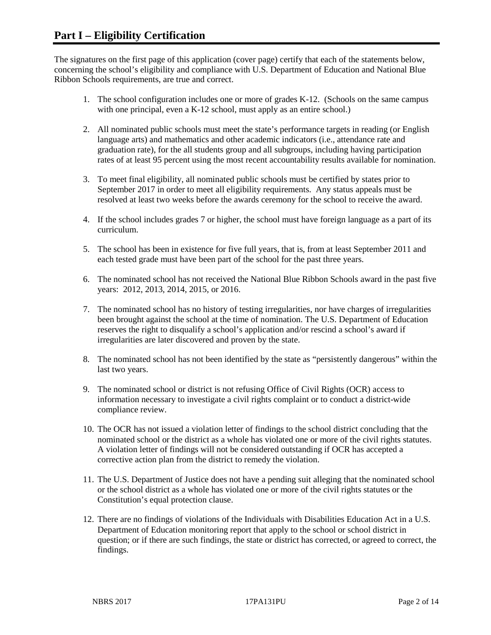The signatures on the first page of this application (cover page) certify that each of the statements below, concerning the school's eligibility and compliance with U.S. Department of Education and National Blue Ribbon Schools requirements, are true and correct.

- 1. The school configuration includes one or more of grades K-12. (Schools on the same campus with one principal, even a K-12 school, must apply as an entire school.)
- 2. All nominated public schools must meet the state's performance targets in reading (or English language arts) and mathematics and other academic indicators (i.e., attendance rate and graduation rate), for the all students group and all subgroups, including having participation rates of at least 95 percent using the most recent accountability results available for nomination.
- 3. To meet final eligibility, all nominated public schools must be certified by states prior to September 2017 in order to meet all eligibility requirements. Any status appeals must be resolved at least two weeks before the awards ceremony for the school to receive the award.
- 4. If the school includes grades 7 or higher, the school must have foreign language as a part of its curriculum.
- 5. The school has been in existence for five full years, that is, from at least September 2011 and each tested grade must have been part of the school for the past three years.
- 6. The nominated school has not received the National Blue Ribbon Schools award in the past five years: 2012, 2013, 2014, 2015, or 2016.
- 7. The nominated school has no history of testing irregularities, nor have charges of irregularities been brought against the school at the time of nomination. The U.S. Department of Education reserves the right to disqualify a school's application and/or rescind a school's award if irregularities are later discovered and proven by the state.
- 8. The nominated school has not been identified by the state as "persistently dangerous" within the last two years.
- 9. The nominated school or district is not refusing Office of Civil Rights (OCR) access to information necessary to investigate a civil rights complaint or to conduct a district-wide compliance review.
- 10. The OCR has not issued a violation letter of findings to the school district concluding that the nominated school or the district as a whole has violated one or more of the civil rights statutes. A violation letter of findings will not be considered outstanding if OCR has accepted a corrective action plan from the district to remedy the violation.
- 11. The U.S. Department of Justice does not have a pending suit alleging that the nominated school or the school district as a whole has violated one or more of the civil rights statutes or the Constitution's equal protection clause.
- 12. There are no findings of violations of the Individuals with Disabilities Education Act in a U.S. Department of Education monitoring report that apply to the school or school district in question; or if there are such findings, the state or district has corrected, or agreed to correct, the findings.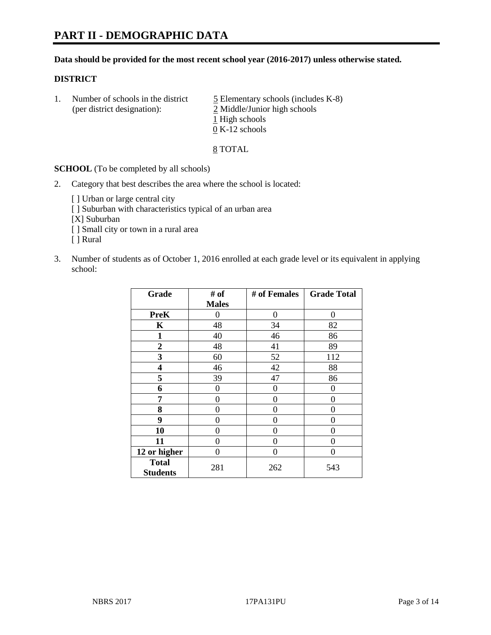#### **Data should be provided for the most recent school year (2016-2017) unless otherwise stated.**

#### **DISTRICT**

1. Number of schools in the district  $\frac{5}{2}$  Elementary schools (includes K-8) (per district designation): 2 Middle/Junior high schools 1 High schools 0 K-12 schools

#### 8 TOTAL

**SCHOOL** (To be completed by all schools)

- 2. Category that best describes the area where the school is located:
	- [] Urban or large central city [ ] Suburban with characteristics typical of an urban area [X] Suburban [ ] Small city or town in a rural area [ ] Rural
- 3. Number of students as of October 1, 2016 enrolled at each grade level or its equivalent in applying school:

| Grade                           | # of         | # of Females | <b>Grade Total</b> |
|---------------------------------|--------------|--------------|--------------------|
|                                 | <b>Males</b> |              |                    |
| <b>PreK</b>                     | 0            | $\theta$     | 0                  |
| $\mathbf K$                     | 48           | 34           | 82                 |
| $\mathbf{1}$                    | 40           | 46           | 86                 |
| $\overline{2}$                  | 48           | 41           | 89                 |
| 3                               | 60           | 52           | 112                |
| 4                               | 46           | 42           | 88                 |
| 5                               | 39           | 47           | 86                 |
| 6                               | 0            | 0            | 0                  |
| 7                               | 0            | 0            | 0                  |
| 8                               | 0            | 0            | 0                  |
| 9                               | 0            | 0            | 0                  |
| 10                              | 0            | 0            | 0                  |
| 11                              | 0            | 0            | 0                  |
| 12 or higher                    | 0            | 0            | 0                  |
| <b>Total</b><br><b>Students</b> | 281          | 262          | 543                |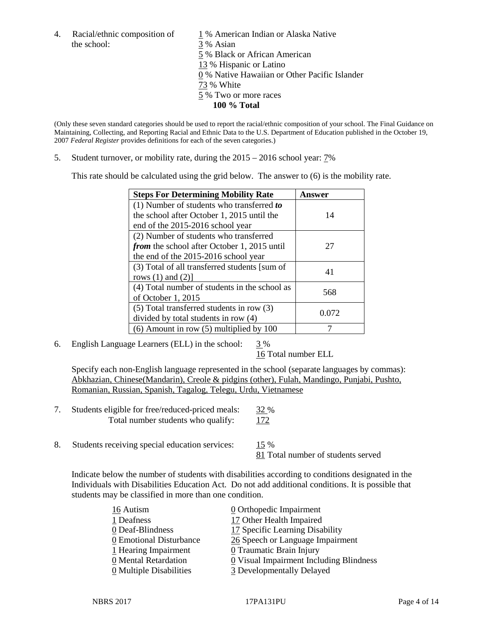the school: 3 % Asian

4. Racial/ethnic composition of  $1\%$  American Indian or Alaska Native 5 % Black or African American 13 % Hispanic or Latino 0 % Native Hawaiian or Other Pacific Islander 73 % White 5 % Two or more races **100 % Total**

(Only these seven standard categories should be used to report the racial/ethnic composition of your school. The Final Guidance on Maintaining, Collecting, and Reporting Racial and Ethnic Data to the U.S. Department of Education published in the October 19, 2007 *Federal Register* provides definitions for each of the seven categories.)

5. Student turnover, or mobility rate, during the 2015 – 2016 school year: 7%

This rate should be calculated using the grid below. The answer to (6) is the mobility rate.

| <b>Steps For Determining Mobility Rate</b>         | Answer |
|----------------------------------------------------|--------|
| (1) Number of students who transferred to          |        |
| the school after October 1, 2015 until the         | 14     |
| end of the 2015-2016 school year                   |        |
| (2) Number of students who transferred             |        |
| <i>from</i> the school after October 1, 2015 until | 27     |
| the end of the 2015-2016 school year               |        |
| (3) Total of all transferred students [sum of      | 41     |
| rows $(1)$ and $(2)$ ]                             |        |
| (4) Total number of students in the school as      | 568    |
| of October 1, 2015                                 |        |
| (5) Total transferred students in row (3)          | 0.072  |
| divided by total students in row (4)               |        |
| $(6)$ Amount in row $(5)$ multiplied by 100        |        |

6. English Language Learners (ELL) in the school:  $3\%$ 

16 Total number ELL

Specify each non-English language represented in the school (separate languages by commas): Abkhazian, Chinese(Mandarin), Creole & pidgins (other), Fulah, Mandingo, Punjabi, Pushto, Romanian, Russian, Spanish, Tagalog, Telegu, Urdu, Vietnamese

| Students eligible for free/reduced-priced meals: | <u>32</u> % |
|--------------------------------------------------|-------------|
| Total number students who qualify:               | <u>172</u>  |

8. Students receiving special education services:  $15\%$ 81 Total number of students served

Indicate below the number of students with disabilities according to conditions designated in the Individuals with Disabilities Education Act. Do not add additional conditions. It is possible that students may be classified in more than one condition.

| 16 Autism                             | 0 Orthopedic Impairment                               |
|---------------------------------------|-------------------------------------------------------|
| 1 Deafness                            | 17 Other Health Impaired                              |
| 0 Deaf-Blindness                      | 17 Specific Learning Disability                       |
| 0 Emotional Disturbance               | 26 Speech or Language Impairment                      |
| $1$ Hearing Impairment                | 0 Traumatic Brain Injury                              |
| 0 Mental Retardation                  | $\underline{0}$ Visual Impairment Including Blindness |
| $\underline{0}$ Multiple Disabilities | 3 Developmentally Delayed                             |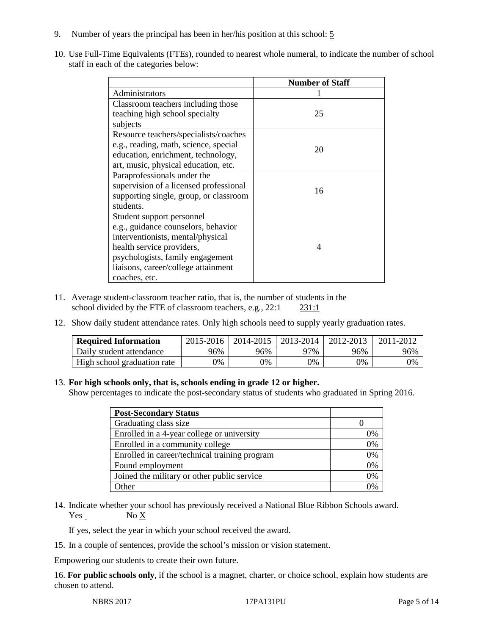- 9. Number of years the principal has been in her/his position at this school: 5
- 10. Use Full-Time Equivalents (FTEs), rounded to nearest whole numeral, to indicate the number of school staff in each of the categories below:

|                                        | <b>Number of Staff</b>   |
|----------------------------------------|--------------------------|
| Administrators                         |                          |
| Classroom teachers including those     |                          |
| teaching high school specialty         | 25                       |
| subjects                               |                          |
| Resource teachers/specialists/coaches  |                          |
| e.g., reading, math, science, special  | 20                       |
| education, enrichment, technology,     |                          |
| art, music, physical education, etc.   |                          |
| Paraprofessionals under the            |                          |
| supervision of a licensed professional | 16                       |
| supporting single, group, or classroom |                          |
| students.                              |                          |
| Student support personnel              |                          |
| e.g., guidance counselors, behavior    |                          |
| interventionists, mental/physical      |                          |
| health service providers,              | $\boldsymbol{\varDelta}$ |
| psychologists, family engagement       |                          |
| liaisons, career/college attainment    |                          |
| coaches, etc.                          |                          |

- 11. Average student-classroom teacher ratio, that is, the number of students in the school divided by the FTE of classroom teachers, e.g., 22:1 231:1
- 12. Show daily student attendance rates. Only high schools need to supply yearly graduation rates.

| <b>Required Information</b> | 2015-2016 | 2014-2015 | 2013-2014 | 2012-2013 |     |
|-----------------------------|-----------|-----------|-----------|-----------|-----|
| Daily student attendance    | 96%       | 96%       | 97%       | 96%       | 96% |
| High school graduation rate | 0%        | 0%        | 0%        | 9%        | 0%  |

#### 13. **For high schools only, that is, schools ending in grade 12 or higher.**

Show percentages to indicate the post-secondary status of students who graduated in Spring 2016.

| <b>Post-Secondary Status</b>                  |    |
|-----------------------------------------------|----|
| Graduating class size                         |    |
| Enrolled in a 4-year college or university    | 0% |
| Enrolled in a community college               | 0% |
| Enrolled in career/technical training program | 0% |
| Found employment                              | 0% |
| Joined the military or other public service   | 0% |
| Other                                         |    |

14. Indicate whether your school has previously received a National Blue Ribbon Schools award.  $Yes$  No  $X$ 

If yes, select the year in which your school received the award.

15. In a couple of sentences, provide the school's mission or vision statement.

Empowering our students to create their own future.

16. **For public schools only**, if the school is a magnet, charter, or choice school, explain how students are chosen to attend.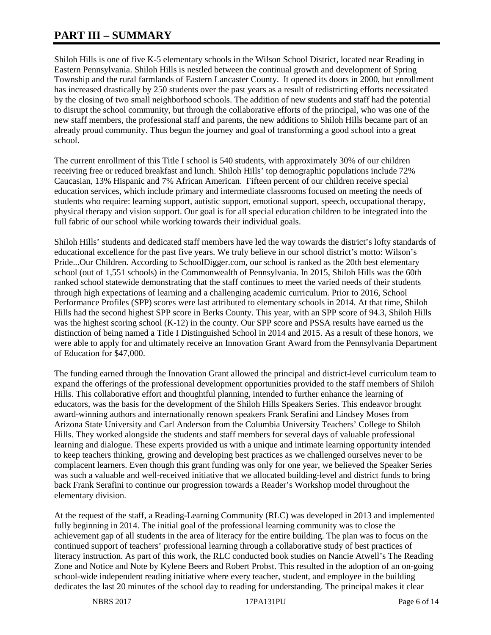# **PART III – SUMMARY**

Shiloh Hills is one of five K-5 elementary schools in the Wilson School District, located near Reading in Eastern Pennsylvania. Shiloh Hills is nestled between the continual growth and development of Spring Township and the rural farmlands of Eastern Lancaster County. It opened its doors in 2000, but enrollment has increased drastically by 250 students over the past years as a result of redistricting efforts necessitated by the closing of two small neighborhood schools. The addition of new students and staff had the potential to disrupt the school community, but through the collaborative efforts of the principal, who was one of the new staff members, the professional staff and parents, the new additions to Shiloh Hills became part of an already proud community. Thus begun the journey and goal of transforming a good school into a great school.

The current enrollment of this Title I school is 540 students, with approximately 30% of our children receiving free or reduced breakfast and lunch. Shiloh Hills' top demographic populations include 72% Caucasian, 13% Hispanic and 7% African American. Fifteen percent of our children receive special education services, which include primary and intermediate classrooms focused on meeting the needs of students who require: learning support, autistic support, emotional support, speech, occupational therapy, physical therapy and vision support. Our goal is for all special education children to be integrated into the full fabric of our school while working towards their individual goals.

Shiloh Hills' students and dedicated staff members have led the way towards the district's lofty standards of educational excellence for the past five years. We truly believe in our school district's motto: Wilson's Pride...Our Children. According to SchoolDigger.com, our school is ranked as the 20th best elementary school (out of 1,551 schools) in the Commonwealth of Pennsylvania. In 2015, Shiloh Hills was the 60th ranked school statewide demonstrating that the staff continues to meet the varied needs of their students through high expectations of learning and a challenging academic curriculum. Prior to 2016, School Performance Profiles (SPP) scores were last attributed to elementary schools in 2014. At that time, Shiloh Hills had the second highest SPP score in Berks County. This year, with an SPP score of 94.3, Shiloh Hills was the highest scoring school (K-12) in the county. Our SPP score and PSSA results have earned us the distinction of being named a Title I Distinguished School in 2014 and 2015. As a result of these honors, we were able to apply for and ultimately receive an Innovation Grant Award from the Pennsylvania Department of Education for \$47,000.

The funding earned through the Innovation Grant allowed the principal and district-level curriculum team to expand the offerings of the professional development opportunities provided to the staff members of Shiloh Hills. This collaborative effort and thoughtful planning, intended to further enhance the learning of educators, was the basis for the development of the Shiloh Hills Speakers Series. This endeavor brought award-winning authors and internationally renown speakers Frank Serafini and Lindsey Moses from Arizona State University and Carl Anderson from the Columbia University Teachers' College to Shiloh Hills. They worked alongside the students and staff members for several days of valuable professional learning and dialogue. These experts provided us with a unique and intimate learning opportunity intended to keep teachers thinking, growing and developing best practices as we challenged ourselves never to be complacent learners. Even though this grant funding was only for one year, we believed the Speaker Series was such a valuable and well-received initiative that we allocated building-level and district funds to bring back Frank Serafini to continue our progression towards a Reader's Workshop model throughout the elementary division.

At the request of the staff, a Reading-Learning Community (RLC) was developed in 2013 and implemented fully beginning in 2014. The initial goal of the professional learning community was to close the achievement gap of all students in the area of literacy for the entire building. The plan was to focus on the continued support of teachers' professional learning through a collaborative study of best practices of literacy instruction. As part of this work, the RLC conducted book studies on Nancie Atwell's The Reading Zone and Notice and Note by Kylene Beers and Robert Probst. This resulted in the adoption of an on-going school-wide independent reading initiative where every teacher, student, and employee in the building dedicates the last 20 minutes of the school day to reading for understanding. The principal makes it clear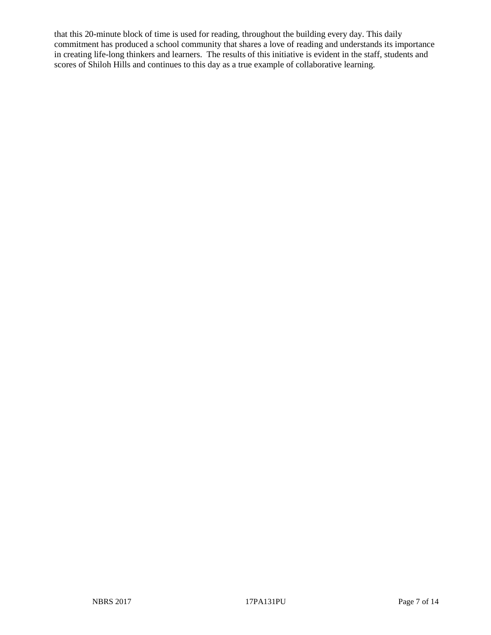that this 20-minute block of time is used for reading, throughout the building every day. This daily commitment has produced a school community that shares a love of reading and understands its importance in creating life-long thinkers and learners. The results of this initiative is evident in the staff, students and scores of Shiloh Hills and continues to this day as a true example of collaborative learning.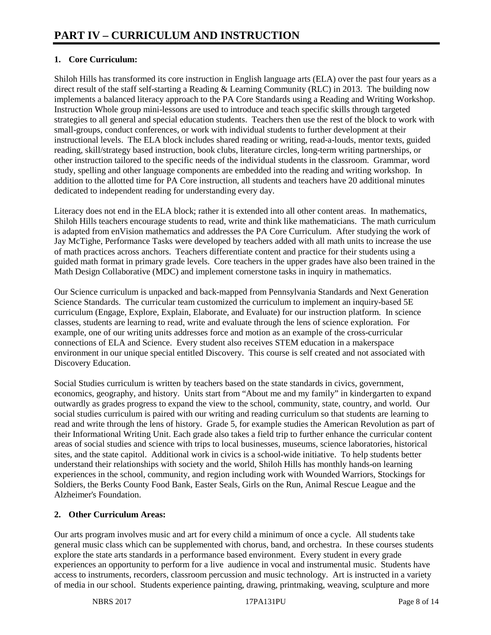# **1. Core Curriculum:**

Shiloh Hills has transformed its core instruction in English language arts (ELA) over the past four years as a direct result of the staff self-starting a Reading & Learning Community (RLC) in 2013. The building now implements a balanced literacy approach to the PA Core Standards using a Reading and Writing Workshop. Instruction Whole group mini-lessons are used to introduce and teach specific skills through targeted strategies to all general and special education students. Teachers then use the rest of the block to work with small-groups, conduct conferences, or work with individual students to further development at their instructional levels. The ELA block includes shared reading or writing, read-a-louds, mentor texts, guided reading, skill/strategy based instruction, book clubs, literature circles, long-term writing partnerships, or other instruction tailored to the specific needs of the individual students in the classroom. Grammar, word study, spelling and other language components are embedded into the reading and writing workshop. In addition to the allotted time for PA Core instruction, all students and teachers have 20 additional minutes dedicated to independent reading for understanding every day.

Literacy does not end in the ELA block; rather it is extended into all other content areas. In mathematics, Shiloh Hills teachers encourage students to read, write and think like mathematicians. The math curriculum is adapted from enVision mathematics and addresses the PA Core Curriculum. After studying the work of Jay McTighe, Performance Tasks were developed by teachers added with all math units to increase the use of math practices across anchors. Teachers differentiate content and practice for their students using a guided math format in primary grade levels. Core teachers in the upper grades have also been trained in the Math Design Collaborative (MDC) and implement cornerstone tasks in inquiry in mathematics.

Our Science curriculum is unpacked and back-mapped from Pennsylvania Standards and Next Generation Science Standards. The curricular team customized the curriculum to implement an inquiry-based 5E curriculum (Engage, Explore, Explain, Elaborate, and Evaluate) for our instruction platform. In science classes, students are learning to read, write and evaluate through the lens of science exploration. For example, one of our writing units addresses force and motion as an example of the cross-curricular connections of ELA and Science. Every student also receives STEM education in a makerspace environment in our unique special entitled Discovery. This course is self created and not associated with Discovery Education.

Social Studies curriculum is written by teachers based on the state standards in civics, government, economics, geography, and history. Units start from "About me and my family" in kindergarten to expand outwardly as grades progress to expand the view to the school, community, state, country, and world. Our social studies curriculum is paired with our writing and reading curriculum so that students are learning to read and write through the lens of history. Grade 5, for example studies the American Revolution as part of their Informational Writing Unit. Each grade also takes a field trip to further enhance the curricular content areas of social studies and science with trips to local businesses, museums, science laboratories, historical sites, and the state capitol. Additional work in civics is a school-wide initiative. To help students better understand their relationships with society and the world, Shiloh Hills has monthly hands-on learning experiences in the school, community, and region including work with Wounded Warriors, Stockings for Soldiers, the Berks County Food Bank, Easter Seals, Girls on the Run, Animal Rescue League and the Alzheimer's Foundation.

### **2. Other Curriculum Areas:**

Our arts program involves music and art for every child a minimum of once a cycle. All students take general music class which can be supplemented with chorus, band, and orchestra. In these courses students explore the state arts standards in a performance based environment. Every student in every grade experiences an opportunity to perform for a live audience in vocal and instrumental music. Students have access to instruments, recorders, classroom percussion and music technology. Art is instructed in a variety of media in our school. Students experience painting, drawing, printmaking, weaving, sculpture and more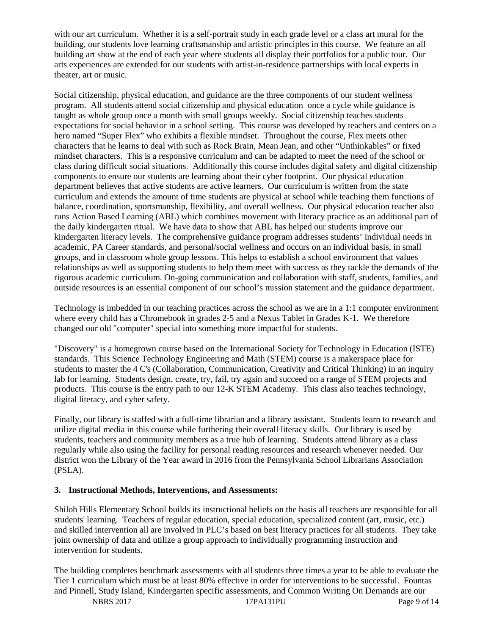with our art curriculum. Whether it is a self-portrait study in each grade level or a class art mural for the building, our students love learning craftsmanship and artistic principles in this course. We feature an all building art show at the end of each year where students all display their portfolios for a public tour. Our arts experiences are extended for our students with artist-in-residence partnerships with local experts in theater, art or music.

Social citizenship, physical education, and guidance are the three components of our student wellness program. All students attend social citizenship and physical education once a cycle while guidance is taught as whole group once a month with small groups weekly. Social citizenship teaches students expectations for social behavior in a school setting. This course was developed by teachers and centers on a hero named "Super Flex" who exhibits a flexible mindset. Throughout the course, Flex meets other characters that he learns to deal with such as Rock Brain, Mean Jean, and other "Unthinkables" or fixed mindset characters. This is a responsive curriculum and can be adapted to meet the need of the school or class during difficult social situations. Additionally this course includes digital safety and digital citizenship components to ensure our students are learning about their cyber footprint. Our physical education department believes that active students are active learners. Our curriculum is written from the state curriculum and extends the amount of time students are physical at school while teaching them functions of balance, coordination, sportsmanship, flexibility, and overall wellness. Our physical education teacher also runs Action Based Learning (ABL) which combines movement with literacy practice as an additional part of the daily kindergarten ritual. We have data to show that ABL has helped our students improve our kindergarten literacy levels. The comprehensive guidance program addresses students' individual needs in academic, PA Career standards, and personal/social wellness and occurs on an individual basis, in small groups, and in classroom whole group lessons. This helps to establish a school environment that values relationships as well as supporting students to help them meet with success as they tackle the demands of the rigorous academic curriculum. On-going communication and collaboration with staff, students, families, and outside resources is an essential component of our school's mission statement and the guidance department.

Technology is imbedded in our teaching practices across the school as we are in a 1:1 computer environment where every child has a Chromebook in grades 2-5 and a Nexus Tablet in Grades K-1. We therefore changed our old "computer" special into something more impactful for students.

"Discovery" is a homegrown course based on the International Society for Technology in Education (ISTE) standards. This Science Technology Engineering and Math (STEM) course is a makerspace place for students to master the 4 C's (Collaboration, Communication, Creativity and Critical Thinking) in an inquiry lab for learning. Students design, create, try, fail, try again and succeed on a range of STEM projects and products. This course is the entry path to our 12-K STEM Academy. This class also teaches technology, digital literacy, and cyber safety.

Finally, our library is staffed with a full-time librarian and a library assistant. Students learn to research and utilize digital media in this course while furthering their overall literacy skills. Our library is used by students, teachers and community members as a true hub of learning. Students attend library as a class regularly while also using the facility for personal reading resources and research whenever needed. Our district won the Library of the Year award in 2016 from the Pennsylvania School Librarians Association (PSLA).

### **3. Instructional Methods, Interventions, and Assessments:**

Shiloh Hills Elementary School builds its instructional beliefs on the basis all teachers are responsible for all students' learning. Teachers of regular education, special education, specialized content (art, music, etc.) and skilled intervention all are involved in PLC's based on best literacy practices for all students. They take joint ownership of data and utilize a group approach to individually programming instruction and intervention for students.

The building completes benchmark assessments with all students three times a year to be able to evaluate the Tier 1 curriculum which must be at least 80% effective in order for interventions to be successful. Fountas and Pinnell, Study Island, Kindergarten specific assessments, and Common Writing On Demands are our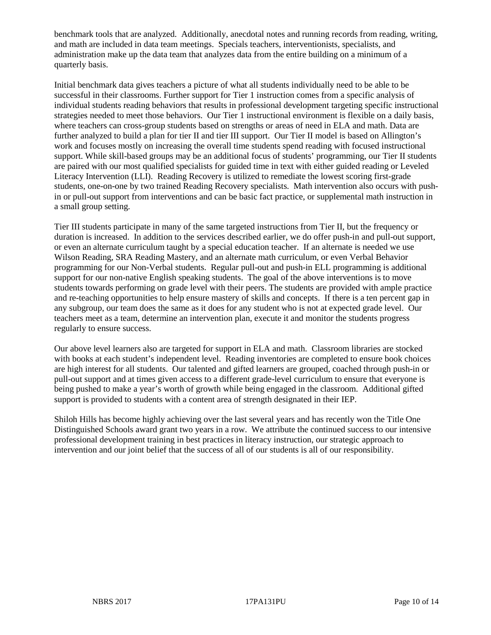benchmark tools that are analyzed. Additionally, anecdotal notes and running records from reading, writing, and math are included in data team meetings. Specials teachers, interventionists, specialists, and administration make up the data team that analyzes data from the entire building on a minimum of a quarterly basis.

Initial benchmark data gives teachers a picture of what all students individually need to be able to be successful in their classrooms. Further support for Tier 1 instruction comes from a specific analysis of individual students reading behaviors that results in professional development targeting specific instructional strategies needed to meet those behaviors. Our Tier 1 instructional environment is flexible on a daily basis, where teachers can cross-group students based on strengths or areas of need in ELA and math. Data are further analyzed to build a plan for tier II and tier III support. Our Tier II model is based on Allington's work and focuses mostly on increasing the overall time students spend reading with focused instructional support. While skill-based groups may be an additional focus of students' programming, our Tier II students are paired with our most qualified specialists for guided time in text with either guided reading or Leveled Literacy Intervention (LLI). Reading Recovery is utilized to remediate the lowest scoring first-grade students, one-on-one by two trained Reading Recovery specialists. Math intervention also occurs with pushin or pull-out support from interventions and can be basic fact practice, or supplemental math instruction in a small group setting.

Tier III students participate in many of the same targeted instructions from Tier II, but the frequency or duration is increased. In addition to the services described earlier, we do offer push-in and pull-out support, or even an alternate curriculum taught by a special education teacher. If an alternate is needed we use Wilson Reading, SRA Reading Mastery, and an alternate math curriculum, or even Verbal Behavior programming for our Non-Verbal students. Regular pull-out and push-in ELL programming is additional support for our non-native English speaking students. The goal of the above interventions is to move students towards performing on grade level with their peers. The students are provided with ample practice and re-teaching opportunities to help ensure mastery of skills and concepts. If there is a ten percent gap in any subgroup, our team does the same as it does for any student who is not at expected grade level. Our teachers meet as a team, determine an intervention plan, execute it and monitor the students progress regularly to ensure success.

Our above level learners also are targeted for support in ELA and math. Classroom libraries are stocked with books at each student's independent level. Reading inventories are completed to ensure book choices are high interest for all students. Our talented and gifted learners are grouped, coached through push-in or pull-out support and at times given access to a different grade-level curriculum to ensure that everyone is being pushed to make a year's worth of growth while being engaged in the classroom. Additional gifted support is provided to students with a content area of strength designated in their IEP.

Shiloh Hills has become highly achieving over the last several years and has recently won the Title One Distinguished Schools award grant two years in a row. We attribute the continued success to our intensive professional development training in best practices in literacy instruction, our strategic approach to intervention and our joint belief that the success of all of our students is all of our responsibility.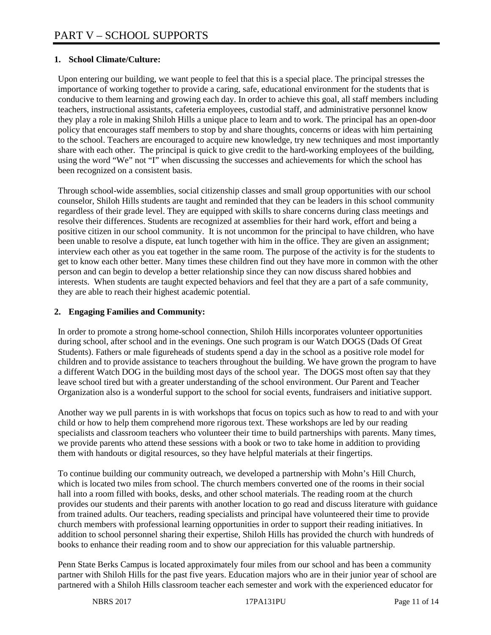## **1. School Climate/Culture:**

Upon entering our building, we want people to feel that this is a special place. The principal stresses the importance of working together to provide a caring, safe, educational environment for the students that is conducive to them learning and growing each day. In order to achieve this goal, all staff members including teachers, instructional assistants, cafeteria employees, custodial staff, and administrative personnel know they play a role in making Shiloh Hills a unique place to learn and to work. The principal has an open-door policy that encourages staff members to stop by and share thoughts, concerns or ideas with him pertaining to the school. Teachers are encouraged to acquire new knowledge, try new techniques and most importantly share with each other. The principal is quick to give credit to the hard-working employees of the building, using the word "We" not "I" when discussing the successes and achievements for which the school has been recognized on a consistent basis.

Through school-wide assemblies, social citizenship classes and small group opportunities with our school counselor, Shiloh Hills students are taught and reminded that they can be leaders in this school community regardless of their grade level. They are equipped with skills to share concerns during class meetings and resolve their differences. Students are recognized at assemblies for their hard work, effort and being a positive citizen in our school community. It is not uncommon for the principal to have children, who have been unable to resolve a dispute, eat lunch together with him in the office. They are given an assignment; interview each other as you eat together in the same room. The purpose of the activity is for the students to get to know each other better. Many times these children find out they have more in common with the other person and can begin to develop a better relationship since they can now discuss shared hobbies and interests. When students are taught expected behaviors and feel that they are a part of a safe community, they are able to reach their highest academic potential.

## **2. Engaging Families and Community:**

In order to promote a strong home-school connection, Shiloh Hills incorporates volunteer opportunities during school, after school and in the evenings. One such program is our Watch DOGS (Dads Of Great Students). Fathers or male figureheads of students spend a day in the school as a positive role model for children and to provide assistance to teachers throughout the building. We have grown the program to have a different Watch DOG in the building most days of the school year. The DOGS most often say that they leave school tired but with a greater understanding of the school environment. Our Parent and Teacher Organization also is a wonderful support to the school for social events, fundraisers and initiative support.

Another way we pull parents in is with workshops that focus on topics such as how to read to and with your child or how to help them comprehend more rigorous text. These workshops are led by our reading specialists and classroom teachers who volunteer their time to build partnerships with parents. Many times, we provide parents who attend these sessions with a book or two to take home in addition to providing them with handouts or digital resources, so they have helpful materials at their fingertips.

To continue building our community outreach, we developed a partnership with Mohn's Hill Church, which is located two miles from school. The church members converted one of the rooms in their social hall into a room filled with books, desks, and other school materials. The reading room at the church provides our students and their parents with another location to go read and discuss literature with guidance from trained adults. Our teachers, reading specialists and principal have volunteered their time to provide church members with professional learning opportunities in order to support their reading initiatives. In addition to school personnel sharing their expertise, Shiloh Hills has provided the church with hundreds of books to enhance their reading room and to show our appreciation for this valuable partnership.

Penn State Berks Campus is located approximately four miles from our school and has been a community partner with Shiloh Hills for the past five years. Education majors who are in their junior year of school are partnered with a Shiloh Hills classroom teacher each semester and work with the experienced educator for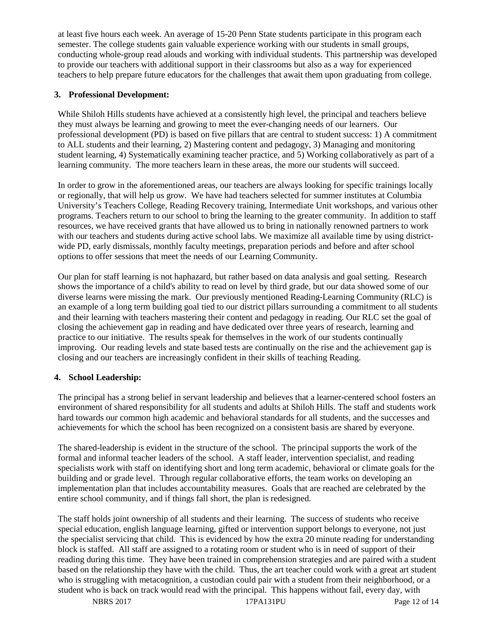at least five hours each week. An average of 15-20 Penn State students participate in this program each semester. The college students gain valuable experience working with our students in small groups, conducting whole-group read alouds and working with individual students. This partnership was developed to provide our teachers with additional support in their classrooms but also as a way for experienced teachers to help prepare future educators for the challenges that await them upon graduating from college.

#### **3. Professional Development:**

While Shiloh Hills students have achieved at a consistently high level, the principal and teachers believe they must always be learning and growing to meet the ever-changing needs of our learners. Our professional development (PD) is based on five pillars that are central to student success: 1) A commitment to ALL students and their learning, 2) Mastering content and pedagogy, 3) Managing and monitoring student learning, 4) Systematically examining teacher practice, and 5) Working collaboratively as part of a learning community. The more teachers learn in these areas, the more our students will succeed.

In order to grow in the aforementioned areas, our teachers are always looking for specific trainings locally or regionally, that will help us grow. We have had teachers selected for summer institutes at Columbia University's Teachers College, Reading Recovery training, Intermediate Unit workshops, and various other programs. Teachers return to our school to bring the learning to the greater community. In addition to staff resources, we have received grants that have allowed us to bring in nationally renowned partners to work with our teachers and students during active school labs. We maximize all available time by using districtwide PD, early dismissals, monthly faculty meetings, preparation periods and before and after school options to offer sessions that meet the needs of our Learning Community.

Our plan for staff learning is not haphazard, but rather based on data analysis and goal setting. Research shows the importance of a child's ability to read on level by third grade, but our data showed some of our diverse learns were missing the mark. Our previously mentioned Reading-Learning Community (RLC) is an example of a long term building goal tied to our district pillars surrounding a commitment to all students and their learning with teachers mastering their content and pedagogy in reading. Our RLC set the goal of closing the achievement gap in reading and have dedicated over three years of research, learning and practice to our initiative. The results speak for themselves in the work of our students continually improving. Our reading levels and state based tests are continually on the rise and the achievement gap is closing and our teachers are increasingly confident in their skills of teaching Reading.

### **4. School Leadership:**

The principal has a strong belief in servant leadership and believes that a learner-centered school fosters an environment of shared responsibility for all students and adults at Shiloh Hills. The staff and students work hard towards our common high academic and behavioral standards for all students, and the successes and achievements for which the school has been recognized on a consistent basis are shared by everyone.

The shared-leadership is evident in the structure of the school. The principal supports the work of the formal and informal teacher leaders of the school. A staff leader, intervention specialist, and reading specialists work with staff on identifying short and long term academic, behavioral or climate goals for the building and or grade level. Through regular collaborative efforts, the team works on developing an implementation plan that includes accountability measures. Goals that are reached are celebrated by the entire school community, and if things fall short, the plan is redesigned.

The staff holds joint ownership of all students and their learning. The success of students who receive special education, english language learning, gifted or intervention support belongs to everyone, not just the specialist servicing that child. This is evidenced by how the extra 20 minute reading for understanding block is staffed. All staff are assigned to a rotating room or student who is in need of support of their reading during this time. They have been trained in comprehension strategies and are paired with a student based on the relationship they have with the child. Thus, the art teacher could work with a great art student who is struggling with metacognition, a custodian could pair with a student from their neighborhood, or a student who is back on track would read with the principal. This happens without fail, every day, with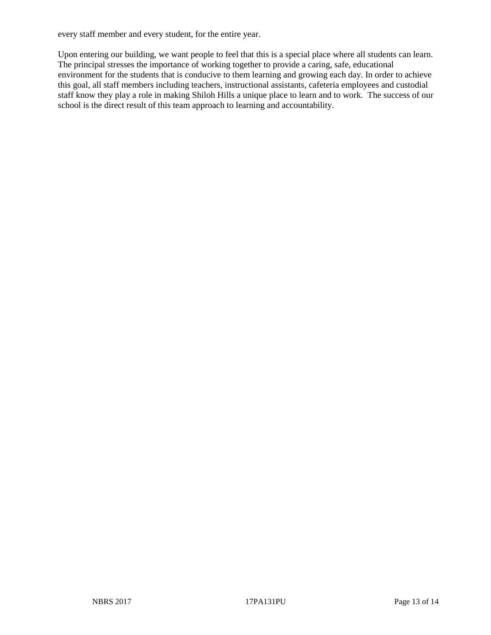every staff member and every student, for the entire year.

Upon entering our building, we want people to feel that this is a special place where all students can learn. The principal stresses the importance of working together to provide a caring, safe, educational environment for the students that is conducive to them learning and growing each day. In order to achieve this goal, all staff members including teachers, instructional assistants, cafeteria employees and custodial staff know they play a role in making Shiloh Hills a unique place to learn and to work. The success of our school is the direct result of this team approach to learning and accountability.